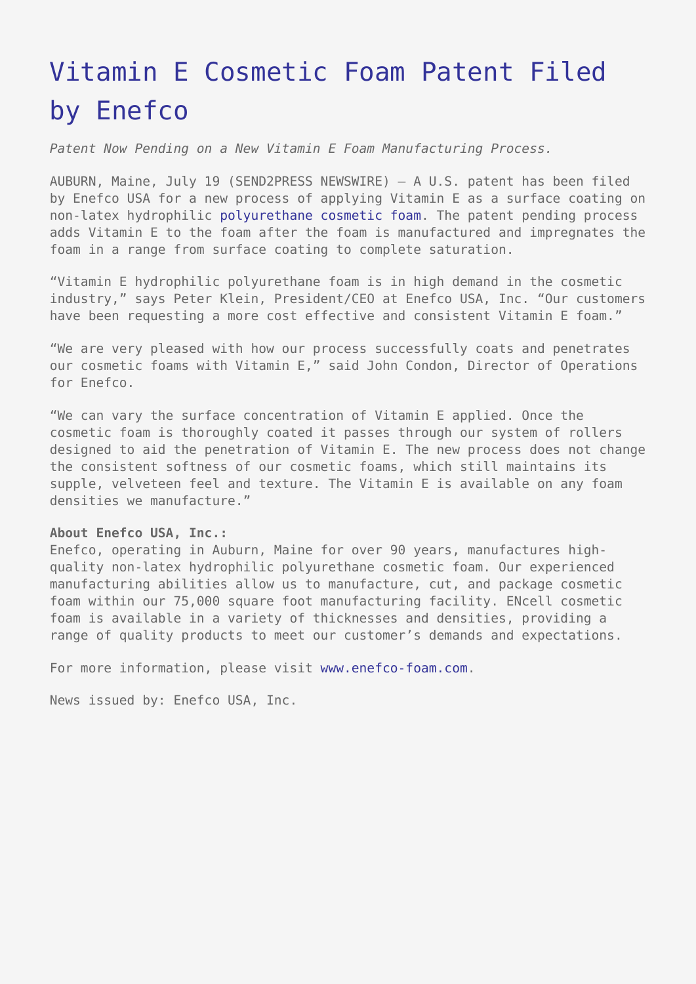## [Vitamin E Cosmetic Foam Patent Filed](https://www.send2press.com/wire/2010-07-0719-003/) [by Enefco](https://www.send2press.com/wire/2010-07-0719-003/)

*Patent Now Pending on a New Vitamin E Foam Manufacturing Process.*

AUBURN, Maine, July 19 (SEND2PRESS NEWSWIRE) — A U.S. patent has been filed by Enefco USA for a new process of applying Vitamin E as a surface coating on non-latex hydrophilic [polyurethane cosmetic foam](http://www.enefco-foam.com). The patent pending process adds Vitamin E to the foam after the foam is manufactured and impregnates the foam in a range from surface coating to complete saturation.

"Vitamin E hydrophilic polyurethane foam is in high demand in the cosmetic industry," says Peter Klein, President/CEO at Enefco USA, Inc. "Our customers have been requesting a more cost effective and consistent Vitamin E foam."

"We are very pleased with how our process successfully coats and penetrates our cosmetic foams with Vitamin E," said John Condon, Director of Operations for Enefco.

"We can vary the surface concentration of Vitamin E applied. Once the cosmetic foam is thoroughly coated it passes through our system of rollers designed to aid the penetration of Vitamin E. The new process does not change the consistent softness of our cosmetic foams, which still maintains its supple, velveteen feel and texture. The Vitamin E is available on any foam densities we manufacture."

## **About Enefco USA, Inc.:**

Enefco, operating in Auburn, Maine for over 90 years, manufactures highquality non-latex hydrophilic polyurethane cosmetic foam. Our experienced manufacturing abilities allow us to manufacture, cut, and package cosmetic foam within our 75,000 square foot manufacturing facility. ENcell cosmetic foam is available in a variety of thicknesses and densities, providing a range of quality products to meet our customer's demands and expectations.

For more information, please visit [www.enefco-foam.com](http://www.enefco-foam.com).

News issued by: Enefco USA, Inc.